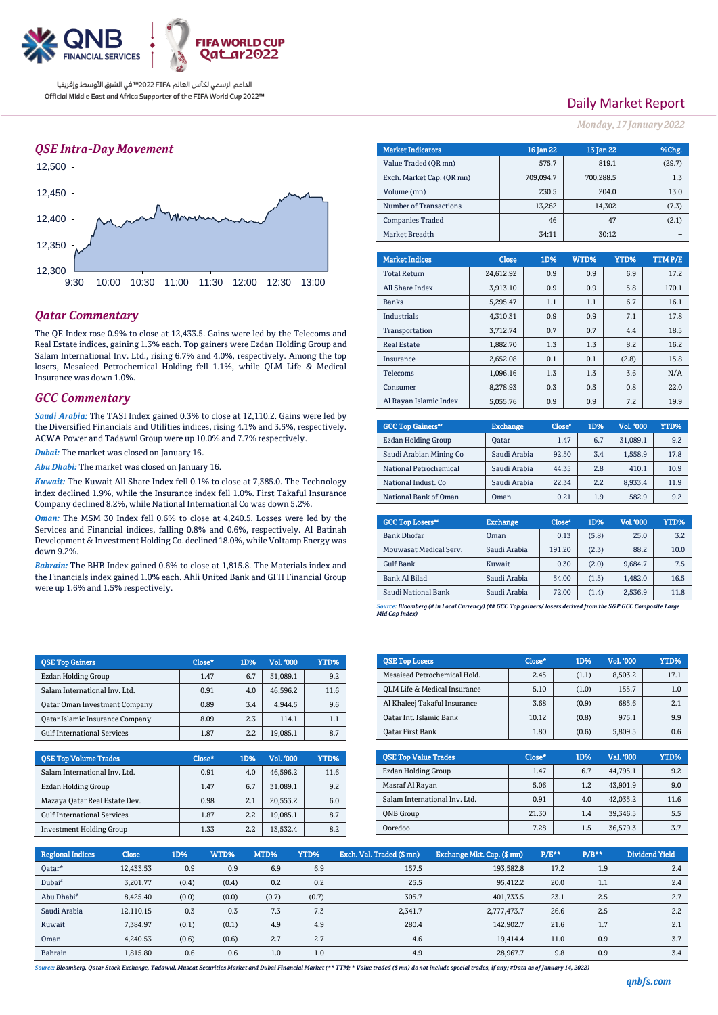

الداعم الرسمي لكأس العالم PIFA™ في الشرق الأوسط وإفريقيا Official Middle East and Africa Supporter of the FIFA World Cup 2022™

## *QSE Intra-Day Movement*



## *Qatar Commentary*

The QE Index rose 0.9% to close at 12,433.5. Gains were led by the Telecoms and Real Estate indices, gaining 1.3% each. Top gainers were Ezdan Holding Group and Salam International Inv. Ltd., rising 6.7% and 4.0%, respectively. Among the top losers, Mesaieed Petrochemical Holding fell 1.1%, while QLM Life & Medical Insurance was down 1.0%.

#### *GCC Commentary*

*Saudi Arabia:* The TASI Index gained 0.3% to close at 12,110.2. Gains were led by the Diversified Financials and Utilities indices, rising 4.1% and 3.5%, respectively. ACWA Power and Tadawul Group were up 10.0% and 7.7% respectively.

*Dubai:* The market was closed on January 16.

*Abu Dhabi:* The market was closed on January 16.

*Kuwait:* The Kuwait All Share Index fell 0.1% to close at 7,385.0. The Technology index declined 1.9%, while the Insurance index fell 1.0%. First Takaful Insurance Company declined 8.2%, while National International Co was down 5.2%.

*Oman:* The MSM 30 Index fell 0.6% to close at 4,240.5. Losses were led by the Services and Financial indices, falling 0.8% and 0.6%, respectively. Al Batinah Development & Investment Holding Co. declined 18.0%, while Voltamp Energy was down 9.2%.

*Bahrain:* The BHB Index gained 0.6% to close at 1,815.8. The Materials index and the Financials index gained 1.0% each. Ahli United Bank and GFH Financial Group were up 1.6% and 1.5% respectively.

| <b>QSE Top Gainers</b>                 | Close* | 1D% | Vol. 000 | YTD% |
|----------------------------------------|--------|-----|----------|------|
| Ezdan Holding Group                    | 1.47   | 6.7 | 31,089.1 | 9.2  |
| Salam International Inv. Ltd.          | 0.91   | 4.0 | 46.596.2 | 11.6 |
| <b>Qatar Oman Investment Company</b>   | 0.89   | 3.4 | 4.944.5  | 9.6  |
| <b>Qatar Islamic Insurance Company</b> | 8.09   | 2.3 | 114.1    | 1.1  |
| <b>Gulf International Services</b>     | 1.87   | 2.2 | 19,085.1 | 8.7  |

| <b>OSE Top Volume Trades</b>       | Close* | 1D% | Vol. '000 | YTD% |
|------------------------------------|--------|-----|-----------|------|
| Salam International Inv. Ltd.      | 0.91   | 4.0 | 46.596.2  | 11.6 |
| Ezdan Holding Group                | 1.47   | 6.7 | 31.089.1  | 9.2  |
| Mazaya Qatar Real Estate Dev.      | 0.98   | 2.1 | 20.553.2  | 6.0  |
| <b>Gulf International Services</b> | 1.87   | 2.2 | 19.085.1  | 8.7  |
| <b>Investment Holding Group</b>    | 1.33   | 2.2 | 13.532.4  | 8.2  |

# Daily Market Report

*Monday, 17 January 2022*

| <b>Market Indicators</b>  |  |           | 16 Jan 22 | 13 Jan 22 |        |       | %Chg.  |  |
|---------------------------|--|-----------|-----------|-----------|--------|-------|--------|--|
| Value Traded (OR mn)      |  |           | 575.7     |           | 819.1  |       | (29.7) |  |
| Exch. Market Cap. (QR mn) |  |           | 709,094.7 | 700,288.5 |        |       | 1.3    |  |
| Volume (mn)               |  |           | 230.5     |           | 204.0  |       | 13.0   |  |
| Number of Transactions    |  |           | 13,262    |           | 14,302 |       | (7.3)  |  |
| <b>Companies Traded</b>   |  |           | 46        |           | 47     |       | (2.1)  |  |
| Market Breadth            |  |           | 34:11     |           | 30:12  |       |        |  |
|                           |  |           |           |           |        |       |        |  |
| <b>Market Indices</b>     |  | Close     | 1D%       | WTD%      |        | YTD%  | TTMP/E |  |
| <b>Total Return</b>       |  | 24,612.92 | 0.9       | 0.9       |        | 6.9   | 17.2   |  |
| All Share Index           |  | 3,913.10  | 0.9       | 0.9       |        | 5.8   | 170.1  |  |
| <b>Banks</b>              |  | 5,295.47  | 1.1       | 1.1       |        | 6.7   | 16.1   |  |
| <b>Industrials</b>        |  | 4,310.31  | 0.9       | 0.9       |        | 7.1   | 17.8   |  |
| Transportation            |  | 3,712.74  | 0.7       | 0.7       |        | 4.4   | 18.5   |  |
| <b>Real Estate</b>        |  | 1,882.70  | 1.3       | 1.3       |        | 8.2   | 16.2   |  |
| Insurance                 |  | 2,652.08  | 0.1       | 0.1       |        | (2.8) | 15.8   |  |
| Telecoms                  |  | 1,096.16  | 1.3       | 1.3       |        | 3.6   | N/A    |  |

| <b>GCC Top Gainers</b> " | <b>Exchange</b> | Close <sup>®</sup> | 1D% | Vol. '000 | YTD% |
|--------------------------|-----------------|--------------------|-----|-----------|------|
| Ezdan Holding Group      | Oatar           | 1.47               | 6.7 | 31.089.1  | 9.2  |
| Saudi Arabian Mining Co  | Saudi Arabia    | 92.50              | 3.4 | 1,558.9   | 17.8 |
| National Petrochemical   | Saudi Arabia    | 44.35              | 2.8 | 410.1     | 10.9 |
| National Indust, Co.     | Saudi Arabia    | 22.34              | 2.2 | 8,933.4   | 11.9 |
| National Bank of Oman    | Oman            | 0.21               | 1.9 | 582.9     | 9.2  |

Consumer 1 8,278.93 0.3 0.3 0.8 22.0 Al Rayan Islamic Index 5,055.76 0.9 0.9 7.2 19.9

| <b>GCC Top Losers"</b> | <b>Exchange</b> | Close <sup>®</sup> | 1D%   | Vol.'000 | YTD% |
|------------------------|-----------------|--------------------|-------|----------|------|
| <b>Bank Dhofar</b>     | Oman            | 0.13               | (5.8) | 25.0     | 3.2  |
| Mouwasat Medical Serv. | Saudi Arabia    | 191.20             | (2.3) | 88.2     | 10.0 |
| <b>Gulf Bank</b>       | Kuwait          | 0.30               | (2.0) | 9.684.7  | 7.5  |
| <b>Bank Al Bilad</b>   | Saudi Arabia    | 54.00              | (1.5) | 1.482.0  | 16.5 |
| Saudi National Bank    | Saudi Arabia    | 72.00              | (1.4) | 2,536.9  | 11.8 |

*Source: Bloomberg (# in Local Currency) (## GCC Top gainers/ losers derived from the S&P GCC Composite Large Mid Cap Index)*

| <b>QSE Top Losers</b>        | Close* | 1D%   | <b>Vol. '000</b> | YTD% |
|------------------------------|--------|-------|------------------|------|
| Mesaieed Petrochemical Hold. | 2.45   | (1.1) | 8.503.2          | 17.1 |
| OLM Life & Medical Insurance | 5.10   | (1.0) | 155.7            | 1.0  |
| Al Khaleej Takaful Insurance | 3.68   | (0.9) | 685.6            | 2.1  |
| Oatar Int. Islamic Bank      | 10.12  | (0.8) | 975.1            | 9.9  |
| Oatar First Bank             | 1.80   | (0.6) | 5,809.5          | 0.6  |

| <b>OSE Top Value Trades</b>   | Close* | 1D% | Val. '000 | YTD% |
|-------------------------------|--------|-----|-----------|------|
| Ezdan Holding Group           | 1.47   | 6.7 | 44.795.1  | 9.2  |
| Masraf Al Rayan               | 5.06   | 1.2 | 43.901.9  | 9.0  |
| Salam International Inv. Ltd. | 0.91   | 4.0 | 42,035.2  | 11.6 |
| <b>ONB</b> Group              | 21.30  | 1.4 | 39,346.5  | 5.5  |
| Ooredoo                       | 7.28   | 1.5 | 36,579.3  | 3.7  |

| <b>Regional Indices</b> | <b>Close</b> | 1D%   | WTD%  | MTD%  | YTD%  | Exch. Val. Traded (\$ mn) | Exchange Mkt. Cap. (\$ mn) | $P/E***$ | $P/B**$ | <b>Dividend Yield</b> |
|-------------------------|--------------|-------|-------|-------|-------|---------------------------|----------------------------|----------|---------|-----------------------|
| Oatar*                  | 12.433.53    | 0.9   | 0.9   | 6.9   | 6.9   | 157.5                     | 193,582.8                  | 17.2     | 1.9     | 2.4                   |
| Dubai <sup>#</sup>      | 3.201.77     | (0.4) | (0.4) | 0.2   | 0.2   | 25.5                      | 95.412.2                   | 20.0     | 1.1     | 2.4                   |
| Abu Dhabi <sup>#</sup>  | 8,425.40     | (0.0) | (0.0) | (0.7) | (0.7) | 305.7                     | 401.733.5                  | 23.1     | 2.5     | 2.7                   |
| Saudi Arabia            | 12.110.15    | 0.3   | 0.3   | 7.3   | 7.3   | 2.341.7                   | 2.777.473.7                | 26.6     | 2.5     | 2.2                   |
| Kuwait                  | 7.384.97     | (0.1) | (0.1) | 4.9   | 4.9   | 280.4                     | 142.902.7                  | 21.6     | 1.7     | 2.1                   |
| Oman                    | 4,240.53     | (0.6) | (0.6) | 2.7   | 2.7   | 4.6                       | 19.414.4                   | 11.0     | 0.9     | 3.7                   |
| Bahrain                 | 1.815.80     | 0.6   | 0.6   | 1.0   | 1.0   | 4.9                       | 28,967.7                   | 9.8      | 0.9     | 3.4                   |

*Source: Bloomberg, Qatar Stock Exchange, Tadawul, Muscat Securities Market and Dubai Financial Market (\*\* TTM; \* Value traded (\$ mn) do not include special trades, if any; #Data as of January 14, 2022)*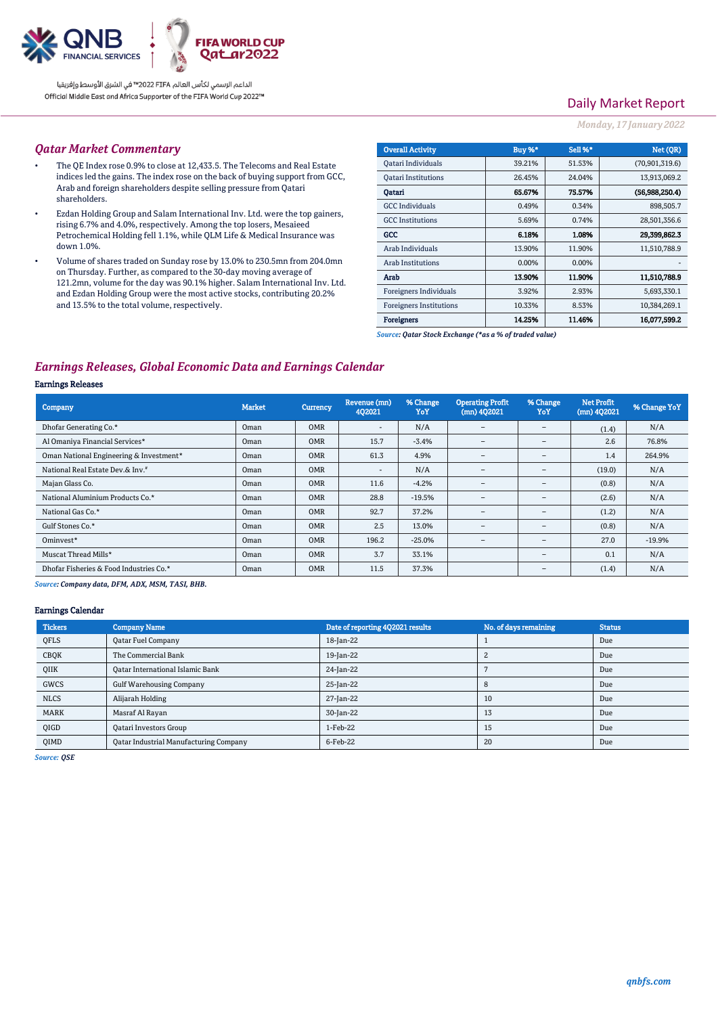

الداعم الرسمي لكأس العالم PIFA™ في الشرق الأوسط وإفريقيا Official Middle East and Africa Supporter of the FIFA World Cup 2022™

# Daily Market Report

#### *Monday, 17 January 2022*

#### *Qatar Market Commentary*

- The QE Index rose 0.9% to close at 12,433.5. The Telecoms and Real Estate indices led the gains. The index rose on the back of buying support from GCC, Arab and foreign shareholders despite selling pressure from Qatari shareholders.
- Ezdan Holding Group and Salam International Inv. Ltd. were the top gainers, rising 6.7% and 4.0%, respectively. Among the top losers, Mesaieed Petrochemical Holding fell 1.1%, while QLM Life & Medical Insurance was down 1.0%.
- Volume of shares traded on Sunday rose by 13.0% to 230.5mn from 204.0mn on Thursday. Further, as compared to the 30-day moving average of 121.2mn, volume for the day was 90.1% higher. Salam International Inv. Ltd. and Ezdan Holding Group were the most active stocks, contributing 20.2% and 13.5% to the total volume, respectively.

| <b>Overall Activity</b>        | Buy %* | <b>Sell %*</b> | Net (QR)         |
|--------------------------------|--------|----------------|------------------|
| Qatari Individuals             | 39.21% | 51.53%         | (70, 901, 319.6) |
| <b>Oatari Institutions</b>     | 26.45% | 24.04%         | 13,913,069.2     |
| Oatari                         | 65.67% | 75.57%         | (56,988,250.4)   |
| <b>GCC</b> Individuals         | 0.49%  | 0.34%          | 898,505.7        |
| <b>GCC</b> Institutions        | 5.69%  | 0.74%          | 28,501,356.6     |
| GCC                            | 6.18%  | 1.08%          | 29.399.862.3     |
| Arab Individuals               | 13.90% | 11.90%         | 11,510,788.9     |
| <b>Arab Institutions</b>       | 0.00%  | 0.00%          |                  |
| Arab                           | 13.90% | 11.90%         | 11.510,788.9     |
| Foreigners Individuals         | 3.92%  | 2.93%          | 5,693,330.1      |
| <b>Foreigners Institutions</b> | 10.33% | 8.53%          | 10,384,269.1     |
| <b>Foreigners</b>              | 14.25% | 11.46%         | 16,077,599.2     |

*Source: Qatar Stock Exchange (\*as a % of traded value)*

# *Earnings Releases, Global Economic Data and Earnings Calendar*

#### Earnings Releases

| Company                                 | <b>Market</b> | Currency   | Revenue (mn)<br>402021       | % Change<br>YoY | <b>Operating Profit</b><br>$(mn)$ 402021 | % Change<br>YoY          | <b>Net Profit</b><br>$(mn)$ 402021 | % Change YoY |
|-----------------------------------------|---------------|------------|------------------------------|-----------------|------------------------------------------|--------------------------|------------------------------------|--------------|
| Dhofar Generating Co.*                  | Oman          | <b>OMR</b> | $\qquad \qquad \blacksquare$ | N/A             | $\overline{\phantom{a}}$                 | $\qquad \qquad =$        | (1.4)                              | N/A          |
| Al Omaniya Financial Services*          | Oman          | <b>OMR</b> | 15.7                         | $-3.4%$         | $\qquad \qquad =$                        | $\qquad \qquad -$        | 2.6                                | 76.8%        |
| Oman National Engineering & Investment* | Oman          | <b>OMR</b> | 61.3                         | 4.9%            | $\overline{\phantom{0}}$                 | $\overline{\phantom{0}}$ | 1.4                                | 264.9%       |
| National Real Estate Dev.& Inv.#        | Oman          | <b>OMR</b> | ۰                            | N/A             | $\overline{\phantom{m}}$                 | $\overline{\phantom{m}}$ | (19.0)                             | N/A          |
| Majan Glass Co.                         | Oman          | <b>OMR</b> | 11.6                         | $-4.2%$         | $\overline{\phantom{a}}$                 | $\overline{\phantom{m}}$ | (0.8)                              | N/A          |
| National Aluminium Products Co.*        | Oman          | <b>OMR</b> | 28.8                         | $-19.5%$        | $\overline{\phantom{a}}$                 | $\overline{\phantom{m}}$ | (2.6)                              | N/A          |
| National Gas Co.*                       | Oman          | <b>OMR</b> | 92.7                         | 37.2%           | $\overline{\phantom{a}}$                 | $\overline{\phantom{a}}$ | (1.2)                              | N/A          |
| Gulf Stones Co.*                        | Oman          | <b>OMR</b> | 2.5                          | 13.0%           | $\overline{\phantom{0}}$                 | $\qquad \qquad -$        | (0.8)                              | N/A          |
| Ominyest*                               | Oman          | <b>OMR</b> | 196.2                        | $-25.0%$        | $\overline{\phantom{0}}$                 | $\qquad \qquad =$        | 27.0                               | $-19.9%$     |
| Muscat Thread Mills*                    | Oman          | <b>OMR</b> | 3.7                          | 33.1%           |                                          | $\overline{\phantom{m}}$ | 0.1                                | N/A          |
| Dhofar Fisheries & Food Industries Co.* | Oman          | <b>OMR</b> | 11.5                         | 37.3%           |                                          | $\overline{\phantom{m}}$ | (1.4)                              | N/A          |

*Source: Company data, DFM, ADX, MSM, TASI, BHB.* 

## Earnings Calendar

| <b>Tickers</b> | <b>Company Name</b>                    | Date of reporting 4Q2021 results | No. of days remaining | <b>Status</b> |
|----------------|----------------------------------------|----------------------------------|-----------------------|---------------|
| QFLS           | Qatar Fuel Company                     | 18-Jan-22                        |                       | Due           |
| CBQK           | The Commercial Bank                    | 19-Jan-22                        |                       | Due           |
| QIIK           | Oatar International Islamic Bank       | 24-Jan-22                        |                       | Due           |
| GWCS           | <b>Gulf Warehousing Company</b>        | 25-Jan-22                        |                       | Due           |
| <b>NLCS</b>    | Alijarah Holding                       | 27-Jan-22                        | 10                    | Due           |
| <b>MARK</b>    | Masraf Al Rayan                        | 30-Jan-22                        | 13                    | Due           |
| QIGD           | Qatari Investors Group                 | $1-Feb-22$                       | 15                    | Due           |
| <b>OIMD</b>    | Oatar Industrial Manufacturing Company | 6-Feb-22                         | 20                    | Due           |

*Source: QSE*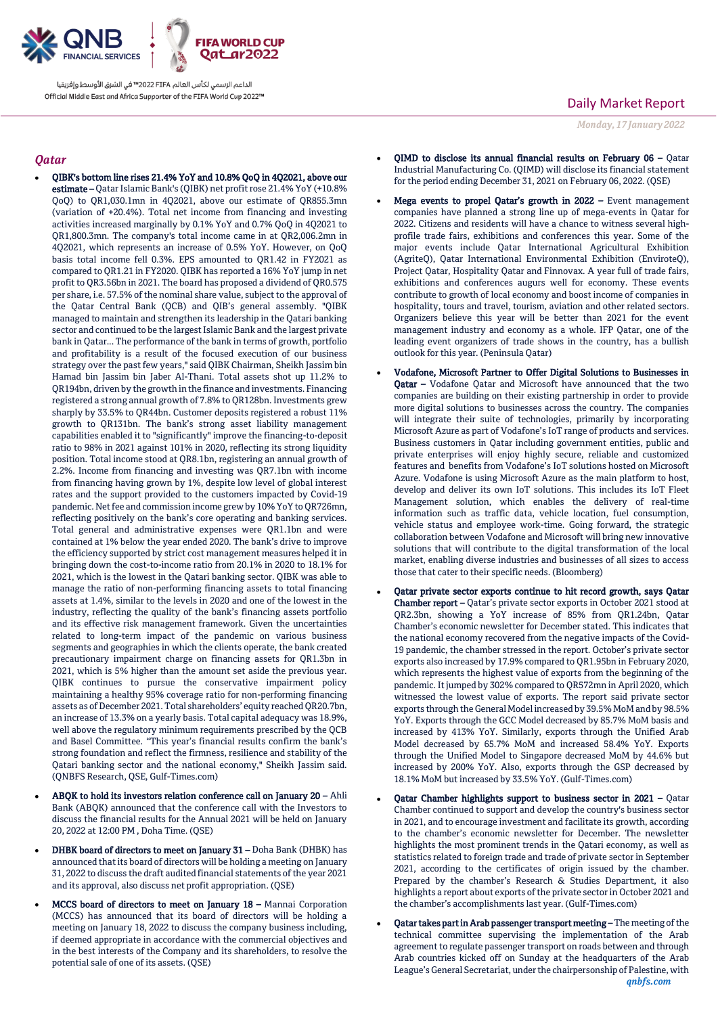

الداعم الرسمي لكأس العالم PIFA™ في الشرق الأوسط وإفريقيا Official Middle East and Africa Supporter of the FIFA World Cup 2022™

## *Qatar*

- QIBK's bottom line rises 21.4% YoY and 10.8% QoQ in 4Q2021, above our estimate – Qatar Islamic Bank's (QIBK) net profit rose 21.4% YoY (+10.8% QoQ) to QR1,030.1mn in 4Q2021, above our estimate of QR855.3mn (variation of +20.4%). Total net income from financing and investing activities increased marginally by 0.1% YoY and 0.7% QoQ in 4Q2021 to QR1,800.3mn. The company's total income came in at QR2,006.2mn in 4Q2021, which represents an increase of 0.5% YoY. However, on QoQ basis total income fell 0.3%. EPS amounted to QR1.42 in FY2021 as compared to QR1.21 in FY2020. QIBK has reported a 16% YoY jump in net profit to QR3.56bn in 2021. The board has proposed a dividend of QR0.575 per share, i.e. 57.5% of the nominal share value, subject to the approval of the Qatar Central Bank (QCB) and QIB's general assembly. "QIBK managed to maintain and strengthen its leadership in the Qatari banking sector and continued to be the largest Islamic Bank and the largest private bank in Qatar... The performance of the bank in terms of growth, portfolio and profitability is a result of the focused execution of our business strategy over the past few years," said QIBK Chairman, Sheikh Jassim bin Hamad bin Jassim bin Jaber Al-Thani. Total assets shot up 11.2% to QR194bn, driven by the growth in the finance and investments. Financing registered a strong annual growth of 7.8% to QR128bn. Investments grew sharply by 33.5% to QR44bn. Customer deposits registered a robust 11% growth to QR131bn. The bank's strong asset liability management capabilities enabled it to "significantly" improve the financing-to-deposit ratio to 98% in 2021 against 101% in 2020, reflecting its strong liquidity position. Total income stood at QR8.1bn, registering an annual growth of 2.2%. Income from financing and investing was QR7.1bn with income from financing having grown by 1%, despite low level of global interest rates and the support provided to the customers impacted by Covid-19 pandemic. Net fee and commission income grew by 10% YoY to QR726mn, reflecting positively on the bank's core operating and banking services. Total general and administrative expenses were QR1.1bn and were contained at 1% below the year ended 2020. The bank's drive to improve the efficiency supported by strict cost management measures helped it in bringing down the cost-to-income ratio from 20.1% in 2020 to 18.1% for 2021, which is the lowest in the Qatari banking sector. QIBK was able to manage the ratio of non-performing financing assets to total financing assets at 1.4%, similar to the levels in 2020 and one of the lowest in the industry, reflecting the quality of the bank's financing assets portfolio and its effective risk management framework. Given the uncertainties related to long-term impact of the pandemic on various business segments and geographies in which the clients operate, the bank created precautionary impairment charge on financing assets for QR1.3bn in 2021, which is 5% higher than the amount set aside the previous year. QIBK continues to pursue the conservative impairment policy maintaining a healthy 95% coverage ratio for non-performing financing assets as of December 2021. Total shareholders' equity reached QR20.7bn, an increase of 13.3% on a yearly basis. Total capital adequacy was 18.9%, well above the regulatory minimum requirements prescribed by the QCB and Basel Committee. "This year's financial results confirm the bank's strong foundation and reflect the firmness, resilience and stability of the Qatari banking sector and the national economy," Sheikh Jassim said. (QNBFS Research, QSE, Gulf-Times.com)
- ABQK to hold its investors relation conference call on January 20 Ahli Bank (ABQK) announced that the conference call with the Investors to discuss the financial results for the Annual 2021 will be held on January 20, 2022 at 12:00 PM , Doha Time. (QSE)
- DHBK board of directors to meet on January 31 Doha Bank (DHBK) has announced that its board of directors will be holding a meeting on January 31, 2022 to discuss the draft audited financial statements of the year 2021 and its approval, also discuss net profit appropriation. (QSE)
- MCCS board of directors to meet on January 18 Mannai Corporation (MCCS) has announced that its board of directors will be holding a meeting on January 18, 2022 to discuss the company business including, if deemed appropriate in accordance with the commercial objectives and in the best interests of the Company and its shareholders, to resolve the potential sale of one of its assets. (QSE)

# Daily Market Report

*Monday, 17 January 2022*

- QIMD to disclose its annual financial results on February 06 Qatar Industrial Manufacturing Co. (QIMD) will disclose its financial statement for the period ending December 31, 2021 on February 06, 2022. (QSE)
- Mega events to propel Qatar's growth in 2022 Event management companies have planned a strong line up of mega-events in Qatar for 2022. Citizens and residents will have a chance to witness several highprofile trade fairs, exhibitions and conferences this year. Some of the major events include Qatar International Agricultural Exhibition (AgriteQ), Qatar International Environmental Exhibition (EnviroteQ), Project Qatar, Hospitality Qatar and Finnovax. A year full of trade fairs, exhibitions and conferences augurs well for economy. These events contribute to growth of local economy and boost income of companies in hospitality, tours and travel, tourism, aviation and other related sectors. Organizers believe this year will be better than 2021 for the event management industry and economy as a whole. IFP Qatar, one of the leading event organizers of trade shows in the country, has a bullish outlook for this year. (Peninsula Qatar)
- Vodafone, Microsoft Partner to Offer Digital Solutions to Businesses in **Oatar** – Vodafone Oatar and Microsoft have announced that the two companies are building on their existing partnership in order to provide more digital solutions to businesses across the country. The companies will integrate their suite of technologies, primarily by incorporating Microsoft Azure as part of Vodafone's IoT range of products and services. Business customers in Qatar including government entities, public and private enterprises will enjoy highly secure, reliable and customized features and benefits from Vodafone's IoT solutions hosted on Microsoft Azure. Vodafone is using Microsoft Azure as the main platform to host, develop and deliver its own IoT solutions. This includes its IoT Fleet Management solution, which enables the delivery of real-time information such as traffic data, vehicle location, fuel consumption, vehicle status and employee work-time. Going forward, the strategic collaboration between Vodafone and Microsoft will bring new innovative solutions that will contribute to the digital transformation of the local market, enabling diverse industries and businesses of all sizes to access those that cater to their specific needs. (Bloomberg)
- Qatar private sector exports continue to hit record growth, says Qatar Chamber report – Qatar's private sector exports in October 2021 stood at QR2.3bn, showing a YoY increase of 85% from QR1.24bn, Qatar Chamber's economic newsletter for December stated. This indicates that the national economy recovered from the negative impacts of the Covid-19 pandemic, the chamber stressed in the report. October's private sector exports also increased by 17.9% compared to QR1.95bn in February 2020, which represents the highest value of exports from the beginning of the pandemic. It jumped by 302% compared to QR572mn in April 2020, which witnessed the lowest value of exports. The report said private sector exports through the General Model increased by 39.5% MoM and by 98.5% YoY. Exports through the GCC Model decreased by 85.7% MoM basis and increased by 413% YoY. Similarly, exports through the Unified Arab Model decreased by 65.7% MoM and increased 58.4% YoY. Exports through the Unified Model to Singapore decreased MoM by 44.6% but increased by 200% YoY. Also, exports through the GSP decreased by 18.1% MoM but increased by 33.5% YoY. (Gulf-Times.com)
- Qatar Chamber highlights support to business sector in 2021 Qatar Chamber continued to support and develop the country's business sector in 2021, and to encourage investment and facilitate its growth, according to the chamber's economic newsletter for December. The newsletter highlights the most prominent trends in the Qatari economy, as well as statistics related to foreign trade and trade of private sector in September 2021, according to the certificates of origin issued by the chamber. Prepared by the chamber's Research & Studies Department, it also highlights a report about exports of the private sector in October 2021 and the chamber's accomplishments last year. (Gulf-Times.com)
- *qnbfs.com* Qatar takes part in Arab passenger transport meeting – The meeting of the technical committee supervising the implementation of the Arab agreement to regulate passenger transport on roads between and through Arab countries kicked off on Sunday at the headquarters of the Arab League's General Secretariat, under the chairpersonship of Palestine, with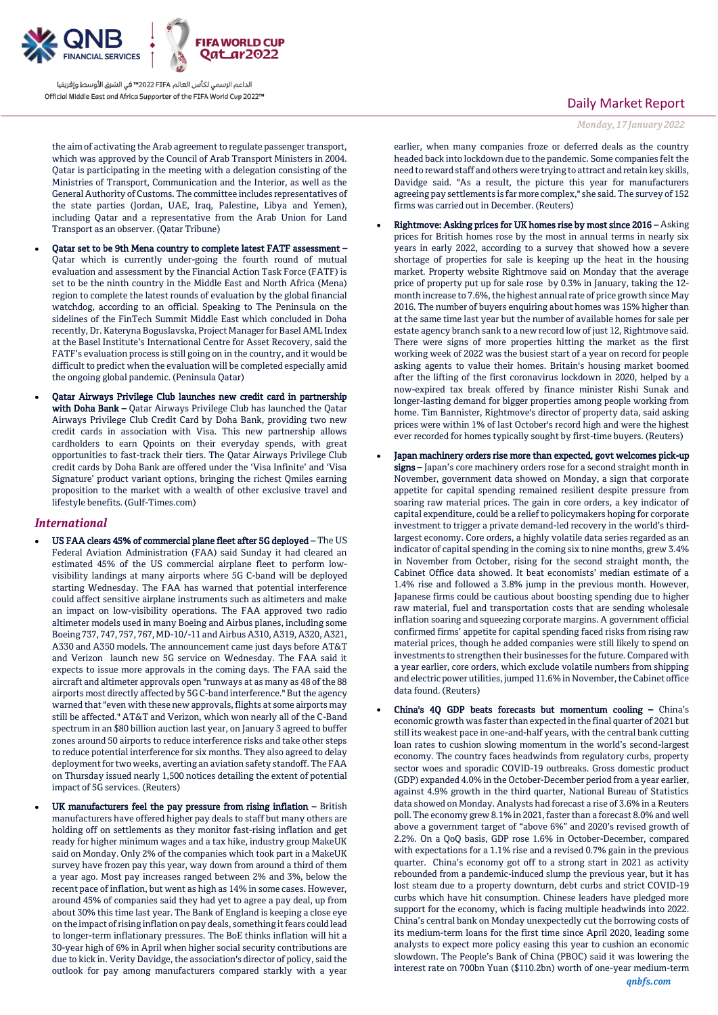

الداعم الرسمي لكأس العالم PIFA≤™ في الشرق الأوسط وإفريقيا Official Middle East and Africa Supporter of the FIFA World Cup 2022™

the aim of activating the Arab agreement to regulate passenger transport, which was approved by the Council of Arab Transport Ministers in 2004. Qatar is participating in the meeting with a delegation consisting of the Ministries of Transport, Communication and the Interior, as well as the General Authority of Customs. The committee includes representatives of the state parties (Jordan, UAE, Iraq, Palestine, Libya and Yemen), including Qatar and a representative from the Arab Union for Land Transport as an observer. (Qatar Tribune)

- Qatar set to be 9th Mena country to complete latest FATF assessment Qatar which is currently under-going the fourth round of mutual evaluation and assessment by the Financial Action Task Force (FATF) is set to be the ninth country in the Middle East and North Africa (Mena) region to complete the latest rounds of evaluation by the global financial watchdog, according to an official. Speaking to The Peninsula on the sidelines of the FinTech Summit Middle East which concluded in Doha recently, Dr. Kateryna Boguslavska, Project Manager for Basel AML Index at the Basel Institute's International Centre for Asset Recovery, said the FATF's evaluation process is still going on in the country, and it would be difficult to predict when the evaluation will be completed especially amid the ongoing global pandemic. (Peninsula Qatar)
- Qatar Airways Privilege Club launches new credit card in partnership with Doha Bank – Qatar Airways Privilege Club has launched the Qatar Airways Privilege Club Credit Card by Doha Bank, providing two new credit cards in association with Visa. This new partnership allows cardholders to earn Qpoints on their everyday spends, with great opportunities to fast-track their tiers. The Qatar Airways Privilege Club credit cards by Doha Bank are offered under the 'Visa Infinite' and 'Visa Signature' product variant options, bringing the richest Qmiles earning proposition to the market with a wealth of other exclusive travel and lifestyle benefits. (Gulf-Times.com)

#### *International*

- US FAA clears 45% of commercial plane fleet after 5G deployed The US Federal Aviation Administration (FAA) said Sunday it had cleared an estimated 45% of the US commercial airplane fleet to perform lowvisibility landings at many airports where 5G C-band will be deployed starting Wednesday. The FAA has warned that potential interference could affect sensitive airplane instruments such as altimeters and make an impact on low-visibility operations. The FAA approved two radio altimeter models used in many Boeing and Airbus planes, including some Boeing 737, 747, 757, 767, MD-10/-11 and Airbus A310, A319, A320, A321, A330 and A350 models. The announcement came just days before AT&T and Verizon launch new 5G service on Wednesday. The FAA said it expects to issue more approvals in the coming days. The FAA said the aircraft and altimeter approvals open "runways at as many as 48 of the 88 airports most directly affected by 5G C-band interference." But the agency warned that "even with these new approvals, flights at some airports may still be affected." AT&T and Verizon, which won nearly all of the C-Band spectrum in an \$80 billion auction last year, on January 3 agreed to buffer zones around 50 airports to reduce interference risks and take other steps to reduce potential interference for six months. They also agreed to delay deployment for two weeks, averting an aviation safety standoff. The FAA on Thursday issued nearly 1,500 notices detailing the extent of potential impact of 5G services. (Reuters)
- UK manufacturers feel the pay pressure from rising inflation British manufacturers have offered higher pay deals to staff but many others are holding off on settlements as they monitor fast-rising inflation and get ready for higher minimum wages and a tax hike, industry group MakeUK said on Monday. Only 2% of the companies which took part in a MakeUK survey have frozen pay this year, way down from around a third of them a year ago. Most pay increases ranged between 2% and 3%, below the recent pace of inflation, but went as high as 14% in some cases. However, around 45% of companies said they had yet to agree a pay deal, up from about 30% this time last year. The Bank of England is keeping a close eye on the impact of rising inflation on pay deals, something it fears could lead to longer-term inflationary pressures. The BoE thinks inflation will hit a 30-year high of 6% in April when higher social security contributions are due to kick in. Verity Davidge, the association's director of policy, said the outlook for pay among manufacturers compared starkly with a year

## Daily Market Report

*Monday, 17 January 2022*

earlier, when many companies froze or deferred deals as the country headed back into lockdown due to the pandemic. Some companies felt the need to reward staff and others were trying to attract and retain key skills, Davidge said. "As a result, the picture this year for manufacturers agreeing pay settlements is far more complex," she said. The survey of 152 firms was carried out in December. (Reuters)

- Rightmove: Asking prices for UK homes rise by most since 2016 Asking prices for British homes rose by the most in annual terms in nearly six years in early 2022, according to a survey that showed how a severe shortage of properties for sale is keeping up the heat in the housing market. Property website Rightmove said on Monday that the average price of property put up for sale rose by 0.3% in January, taking the 12 month increase to 7.6%, the highest annual rate of price growth since May 2016. The number of buyers enquiring about homes was 15% higher than at the same time last year but the number of available homes for sale per estate agency branch sank to a new record low of just 12, Rightmove said. There were signs of more properties hitting the market as the first working week of 2022 was the busiest start of a year on record for people asking agents to value their homes. Britain's housing market boomed after the lifting of the first coronavirus lockdown in 2020, helped by a now-expired tax break offered by finance minister Rishi Sunak and longer-lasting demand for bigger properties among people working from home. Tim Bannister, Rightmove's director of property data, said asking prices were within 1% of last October's record high and were the highest ever recorded for homes typically sought by first-time buyers. (Reuters)
- Japan machinery orders rise more than expected, govt welcomes pick-up signs – Japan's core machinery orders rose for a second straight month in November, government data showed on Monday, a sign that corporate appetite for capital spending remained resilient despite pressure from soaring raw material prices. The gain in core orders, a key indicator of capital expenditure, could be a relief to policymakers hoping for corporate investment to trigger a private demand-led recovery in the world's thirdlargest economy. Core orders, a highly volatile data series regarded as an indicator of capital spending in the coming six to nine months, grew 3.4% in November from October, rising for the second straight month, the Cabinet Office data showed. It beat economists' median estimate of a 1.4% rise and followed a 3.8% jump in the previous month. However, Japanese firms could be cautious about boosting spending due to higher raw material, fuel and transportation costs that are sending wholesale inflation soaring and squeezing corporate margins. A government official confirmed firms' appetite for capital spending faced risks from rising raw material prices, though he added companies were still likely to spend on investments to strengthen their businesses for the future. Compared with a year earlier, core orders, which exclude volatile numbers from shipping and electric power utilities, jumped 11.6% in November, the Cabinet office data found. (Reuters)
- China's 4Q GDP beats forecasts but momentum cooling China's economic growth was faster than expected in the final quarter of 2021 but still its weakest pace in one-and-half years, with the central bank cutting loan rates to cushion slowing momentum in the world's second-largest economy. The country faces headwinds from regulatory curbs, property sector woes and sporadic COVID-19 outbreaks. Gross domestic product (GDP) expanded 4.0% in the October-December period from a year earlier, against 4.9% growth in the third quarter, National Bureau of Statistics data showed on Monday. Analysts had forecast a rise of 3.6% in a Reuters poll. The economy grew 8.1% in 2021, faster than a forecast 8.0% and well above a government target of "above 6%" and 2020's revised growth of 2.2%. On a QoQ basis, GDP rose 1.6% in October-December, compared with expectations for a 1.1% rise and a revised 0.7% gain in the previous quarter. China's economy got off to a strong start in 2021 as activity rebounded from a pandemic-induced slump the previous year, but it has lost steam due to a property downturn, debt curbs and strict COVID-19 curbs which have hit consumption. Chinese leaders have pledged more support for the economy, which is facing multiple headwinds into 2022. China's central bank on Monday unexpectedly cut the borrowing costs of its medium-term loans for the first time since April 2020, leading some analysts to expect more policy easing this year to cushion an economic slowdown. The People's Bank of China (PBOC) said it was lowering the interest rate on 700bn Yuan (\$110.2bn) worth of one-year medium-term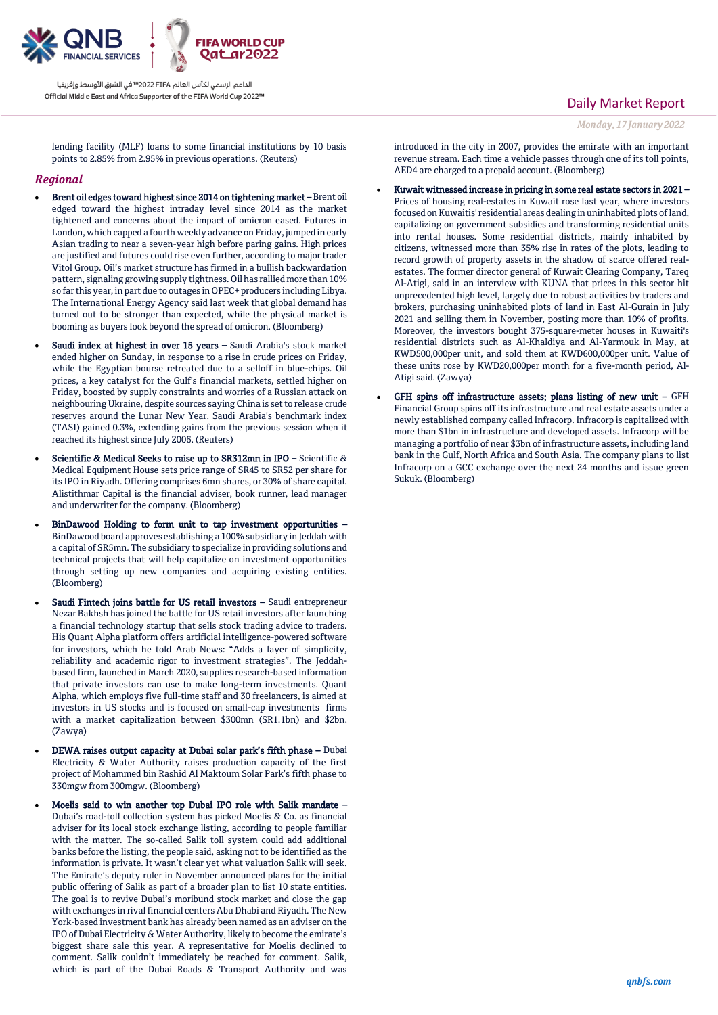

الداعم الرسمي لكأس العالم PIFA≤™ في الشرق الأوسط وإفريقيا Official Middle East and Africa Supporter of the FIFA World Cup 2022™

# Daily Market Report

*Monday, 17 January 2022*

lending facility (MLF) loans to some financial institutions by 10 basis points to 2.85% from 2.95% in previous operations. (Reuters)

### *Regional*

- Brent oil edges toward highest since 2014 on tightening market Brent oil edged toward the highest intraday level since 2014 as the market tightened and concerns about the impact of omicron eased. Futures in London, which capped a fourth weekly advance on Friday, jumped in early Asian trading to near a seven-year high before paring gains. High prices are justified and futures could rise even further, according to major trader Vitol Group. Oil's market structure has firmed in a bullish backwardation pattern, signaling growing supply tightness. Oil has rallied more than 10% so far this year, in part due to outages in OPEC+ producers including Libya. The International Energy Agency said last week that global demand has turned out to be stronger than expected, while the physical market is booming as buyers look beyond the spread of omicron. (Bloomberg)
- Saudi index at highest in over 15 years Saudi Arabia's stock market ended higher on Sunday, in response to a rise in crude prices on Friday, while the Egyptian bourse retreated due to a selloff in blue-chips. Oil prices, a key catalyst for the Gulf's financial markets, settled higher on Friday, boosted by supply constraints and worries of a Russian attack on neighbouring Ukraine, despite sources saying China is set to release crude reserves around the Lunar New Year. Saudi Arabia's benchmark index (TASI) gained 0.3%, extending gains from the previous session when it reached its highest since July 2006. (Reuters)
- Scientific & Medical Seeks to raise up to SR312mn in IPO Scientific & Medical Equipment House sets price range of SR45 to SR52 per share for its IPO in Riyadh. Offering comprises 6mn shares, or 30% of share capital. Alistithmar Capital is the financial adviser, book runner, lead manager and underwriter for the company. (Bloomberg)
- BinDawood Holding to form unit to tap investment opportunities BinDawood board approves establishing a 100% subsidiary in Jeddah with a capital of SR5mn. The subsidiary to specialize in providing solutions and technical projects that will help capitalize on investment opportunities through setting up new companies and acquiring existing entities. (Bloomberg)
- Saudi Fintech joins battle for US retail investors Saudi entrepreneur Nezar Bakhsh has joined the battle for US retail investors after launching a financial technology startup that sells stock trading advice to traders. His Quant Alpha platform offers artificial intelligence-powered software for investors, which he told Arab News: "Adds a layer of simplicity, reliability and academic rigor to investment strategies". The Jeddahbased firm, launched in March 2020, supplies research-based information that private investors can use to make long-term investments. Quant Alpha, which employs five full-time staff and 30 freelancers, is aimed at investors in US stocks and is focused on small-cap investments firms with a market capitalization between \$300mn (SR1.1bn) and \$2bn. (Zawya)
- DEWA raises output capacity at Dubai solar park's fifth phase Dubai Electricity & Water Authority raises production capacity of the first project of Mohammed bin Rashid Al Maktoum Solar Park's fifth phase to 330mgw from 300mgw. (Bloomberg)
- Moelis said to win another top Dubai IPO role with Salik mandate Dubai's road-toll collection system has picked Moelis & Co. as financial adviser for its local stock exchange listing, according to people familiar with the matter. The so-called Salik toll system could add additional banks before the listing, the people said, asking not to be identified as the information is private. It wasn't clear yet what valuation Salik will seek. The Emirate's deputy ruler in November announced plans for the initial public offering of Salik as part of a broader plan to list 10 state entities. The goal is to revive Dubai's moribund stock market and close the gap with exchanges in rival financial centers Abu Dhabi and Riyadh. The New York-based investment bank has already been named as an adviser on the IPO of Dubai Electricity & Water Authority, likely to become the emirate's biggest share sale this year. A representative for Moelis declined to comment. Salik couldn't immediately be reached for comment. Salik, which is part of the Dubai Roads & Transport Authority and was

introduced in the city in 2007, provides the emirate with an important revenue stream. Each time a vehicle passes through one of its toll points, AED4 are charged to a prepaid account. (Bloomberg)

- Kuwait witnessed increase in pricing in some real estate sectors in 2021 Prices of housing real-estates in Kuwait rose last year, where investors focused on Kuwaitis' residential areas dealing in uninhabited plots of land, capitalizing on government subsidies and transforming residential units into rental houses. Some residential districts, mainly inhabited by citizens, witnessed more than 35% rise in rates of the plots, leading to record growth of property assets in the shadow of scarce offered realestates. The former director general of Kuwait Clearing Company, Tareq Al-Atigi, said in an interview with KUNA that prices in this sector hit unprecedented high level, largely due to robust activities by traders and brokers, purchasing uninhabited plots of land in East Al-Gurain in July 2021 and selling them in November, posting more than 10% of profits. Moreover, the investors bought 375-square-meter houses in Kuwaiti's residential districts such as Al-Khaldiya and Al-Yarmouk in May, at KWD500,000per unit, and sold them at KWD600,000per unit. Value of these units rose by KWD20,000per month for a five-month period, Al-Atigi said. (Zawya)
- GFH spins off infrastructure assets; plans listing of new unit GFH Financial Group spins off its infrastructure and real estate assets under a newly established company called Infracorp. Infracorp is capitalized with more than \$1bn in infrastructure and developed assets. Infracorp will be managing a portfolio of near \$3bn of infrastructure assets, including land bank in the Gulf, North Africa and South Asia. The company plans to list Infracorp on a GCC exchange over the next 24 months and issue green Sukuk. (Bloomberg)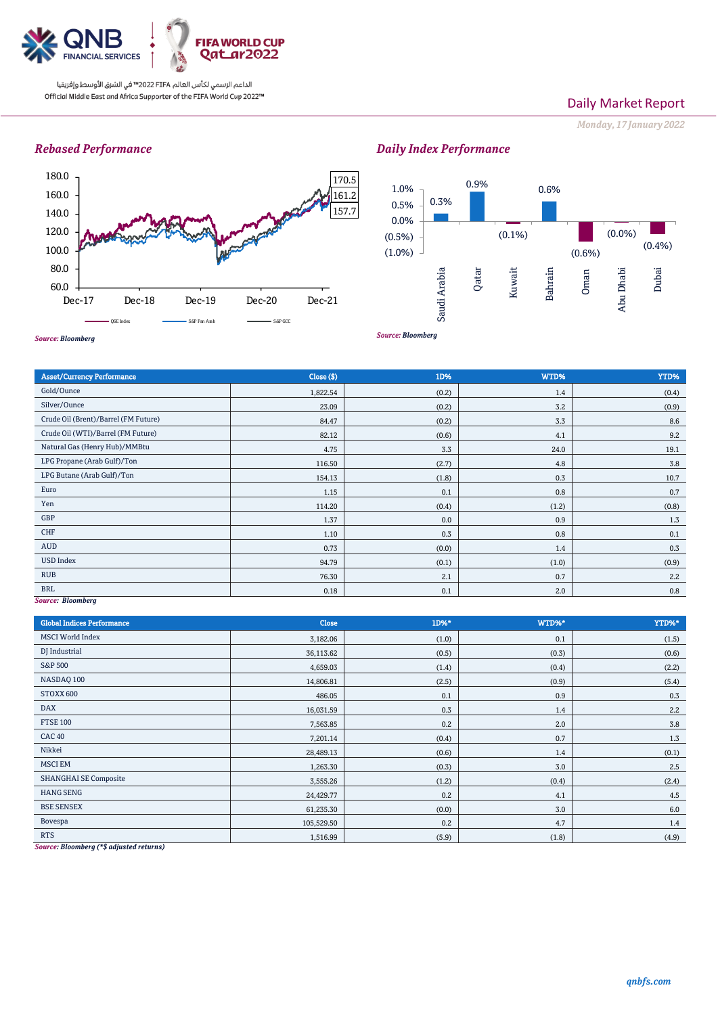

الداعم الرسمي لكأس العالم PIFA™ في الشرق الأوسط وإفريقيا official Middle East and Africa Supporter of the FIFA World Cup 2022™

# Daily Market Report

*Monday, 17 January 2022*

# *Rebased Performance*



# *Daily Index Performance*



Asset/Currency Performance Close (\$) 1D% WTD% YTD% Gold/Ounce 1,822.54 (0.2) 1,822.54 (0.2) 1,822.54 (0.2) 1,4 (0.4) Silver/Ounce 23.09 (0.2) 3.2 (0.9) 3.2 (0.9) Crude Oil (Brent)/Barrel (FM Future) 84.47 (0.2) Crude Oil (WTI)/Barrel (FM Future) 82.12 (0.6) 4.1 9.2 Natural Gas (Henry Hub)/MMBtu 19.1 LPG Propane (Arab Gulf)/Ton 116.50 (2.7) 4.8 4.8 3.8 LPG Butane (Arab Gulf)/Ton 154.13 (1.8) 0.3 10.7 Euro 1.15 0.1 0.8 0.7 Yen (1.2) (0.8) (1.2) (0.8) (0.8) (1.2) (0.8) (1.2) (0.8) (1.2) (0.8) (1.2) (0.8) GBP  $1.37$  0.0 0.9 0.9 1.3 CHF  $0.3$  0.1  $0.3$  0.1  $0.8$  0.1  $0.1$ AUD  $0.73$   $0.73$   $0.0$   $0.0$   $1.4$   $0.3$ USD Index 94.79 (0.1) (1.0) (0.9)

*Source: Bloomberg*

| <b>Global Indices Performance</b>                                                                                 | <b>Close</b> | $1D%$ * | WTD%* | YTD%*   |
|-------------------------------------------------------------------------------------------------------------------|--------------|---------|-------|---------|
| <b>MSCI</b> World Index                                                                                           | 3,182.06     | (1.0)   | 0.1   | (1.5)   |
| DJ Industrial                                                                                                     | 36,113.62    | (0.5)   | (0.3) | (0.6)   |
| <b>S&amp;P 500</b>                                                                                                | 4,659.03     | (1.4)   | (0.4) | (2.2)   |
| NASDAQ 100                                                                                                        | 14,806.81    | (2.5)   | (0.9) | (5.4)   |
| STOXX 600                                                                                                         | 486.05       | 0.1     | 0.9   | 0.3     |
| <b>DAX</b>                                                                                                        | 16,031.59    | 0.3     | 1.4   | 2.2     |
| <b>FTSE 100</b>                                                                                                   | 7,563.85     | 0.2     | 2.0   | $3.8\,$ |
| <b>CAC 40</b>                                                                                                     | 7,201.14     | (0.4)   | 0.7   | 1.3     |
| Nikkei                                                                                                            | 28,489.13    | (0.6)   | 1.4   | (0.1)   |
| <b>MSCI EM</b>                                                                                                    | 1,263.30     | (0.3)   | 3.0   | 2.5     |
| <b>SHANGHAI SE Composite</b>                                                                                      | 3,555.26     | (1.2)   | (0.4) | (2.4)   |
| <b>HANG SENG</b>                                                                                                  | 24,429.77    | 0.2     | 4.1   | 4.5     |
| <b>BSE SENSEX</b>                                                                                                 | 61,235.30    | (0.0)   | 3.0   | $6.0\,$ |
| Bovespa                                                                                                           | 105,529.50   | 0.2     | 4.7   | 1.4     |
| <b>RTS</b><br>$C_{\alpha\mu\nu\rho\alpha\lambda}$ Placembarg $(\star\phi, d\mu\nu + \eta d\mu\nu + \eta d\mu\nu)$ | 1,516.99     | (5.9)   | (1.8) | (4.9)   |

RUB  $76.30$   $2.2$ BRL  $0.18$   $0.18$   $0.1$   $0.1$   $0.01$   $0.20$   $0.8$ 

*Source: Bloomberg (\*\$ adjusted returns)*